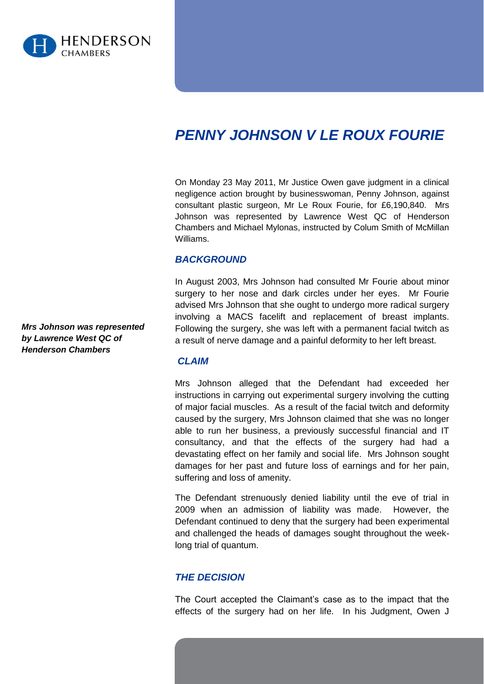

# *PENNY JOHNSON V LE ROUX FOURIE*

On Monday 23 May 2011, Mr Justice Owen gave judgment in a clinical negligence action brought by businesswoman, Penny Johnson, against consultant plastic surgeon, Mr Le Roux Fourie, for £6,190,840. Mrs Johnson was represented by Lawrence West QC of Henderson Chambers and Michael Mylonas, instructed by Colum Smith of McMillan Williams.

## *BACKGROUND*

In August 2003, Mrs Johnson had consulted Mr Fourie about minor surgery to her nose and dark circles under her eyes. Mr Fourie advised Mrs Johnson that she ought to undergo more radical surgery involving a MACS facelift and replacement of breast implants. Following the surgery, she was left with a permanent facial twitch as a result of nerve damage and a painful deformity to her left breast.

# *CLAIM*

Mrs Johnson alleged that the Defendant had exceeded her instructions in carrying out experimental surgery involving the cutting of major facial muscles. As a result of the facial twitch and deformity caused by the surgery, Mrs Johnson claimed that she was no longer able to run her business, a previously successful financial and IT consultancy, and that the effects of the surgery had had a devastating effect on her family and social life. Mrs Johnson sought damages for her past and future loss of earnings and for her pain, suffering and loss of amenity.

The Defendant strenuously denied liability until the eve of trial in 2009 when an admission of liability was made. However, the Defendant continued to deny that the surgery had been experimental and challenged the heads of damages sought throughout the weeklong trial of quantum.

## *THE DECISION*

The Court accepted the Claimant's case as to the impact that the effects of the surgery had on her life. In his Judgment, Owen J

*Mrs Johnson was represented by Lawrence West QC of Henderson Chambers*